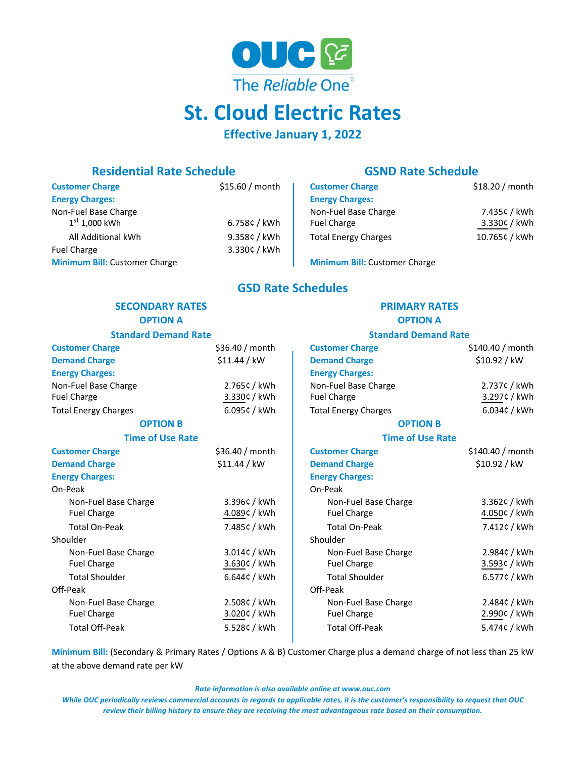

# **St. Cloud Electric Rates**

# **Effective January 1, 2022**

# **Residential Rate Schedule GSND Rate Schedule**

| <b>Customer Charge</b>               | \$15.60 / month | <b>Customer Charge</b>               | \$18.20 / month |
|--------------------------------------|-----------------|--------------------------------------|-----------------|
| <b>Energy Charges:</b>               |                 | <b>Energy Charges:</b>               |                 |
| Non-Fuel Base Charge                 |                 | Non-Fuel Base Charge                 | 7.435¢ / kWh    |
| $1^\mathrm{st}$ 1,000 kWh            | 6.758¢ / kWh    | <b>Fuel Charge</b>                   | 3.330¢ / kWh    |
| All Additional kWh                   | 9.358¢ / kWh    | <b>Total Energy Charges</b>          | 10.765¢ / kWh   |
| <b>Fuel Charge</b>                   | 3.330¢ / kWh    |                                      |                 |
| <b>Minimum Bill: Customer Charge</b> |                 | <b>Minimum Bill: Customer Charge</b> |                 |

# **GSD Rate Schedules**

## **SECONDARY RATES PRIMARY RATES OPTION A OPTION A Standard Demand Rate Standard Demand Rate Customer Charge** \$36.40 / month **Customer Charge** \$140.40 / month **Demand Charge** \$11.44 / kW **Demand Charge** \$10.92 / kW **Energy Charges: Energy Charges:** Non-Fuel Base Charge 2.765¢ / kWh Non-Fuel Base Charge 2.737¢ / kWh Fuel Charge 3.330¢ / kWh Fuel Charge 3.297¢ / kWh Total Energy Charges 6.095¢ / 6.095¢ / kWh Total Energy Charges 6.034¢ / kWh Total Energy Charges 6.034¢ / kWh **OPTION B OPTION B Time of Use Rate Time of Use Rate Customer Charge**  $\begin{array}{c|c} \text{Statement} & \text{Customer Charge} \\ \text{Systemer Charge} & \text{Systemer} \end{array}$ **Demand Charge** \$11.44 / kW **Demand Charge** \$10.92 / kW **Energy Charges: Energy Charges:** On-Peak On-Peak Non-Fuel Base Charge **3.396¢** / kWh Non-Fuel Base Charge 3.362¢ / kWh Fuel Charge 4.089¢ / kWh Fuel Charge 4.050¢ / kWh Total On-Peak **7.485¢** / 7.485¢ / kWh Total On-Peak 7.412¢ / kWh Shoulder Shoulder Shoulder Shoulder Shoulder Shoulder Non-Fuel Base Charge 3.014¢ / kWh Non-Fuel Base Charge 2.984¢ / kWh Fuel Charge 3.630¢ / kWh Fuel Charge 3.593¢ / kWh Total Shoulder 6.644¢ / kWh Total Shoulder 6.577¢ / kWh Off-Peak Off-Peak Non-Fuel Base Charge 2.508¢ / kWh Non-Fuel Base Charge 2.484¢ / kWh Fuel Charge 3.020¢ / kWh Fuel Charge 3.020¢ / kWh Fuel Charge 3.020¢ / kWh

**Minimum Bill:** (Secondary & Primary Rates / Options A & B) Customer Charge plus a demand charge of not less than 25 kW at the above demand rate per kW

Total Off-Peak 5.528¢ / kWh Total Off-Peak 5.474¢ / kWh

*Rate information is also available online at www.ouc.com*

*While OUC periodically reviews commercial accounts in regards to applicable rates, it is the customer's responsibility to request that OUC review their billing history to ensure they are receiving the most advantageous rate based on their consumption.*